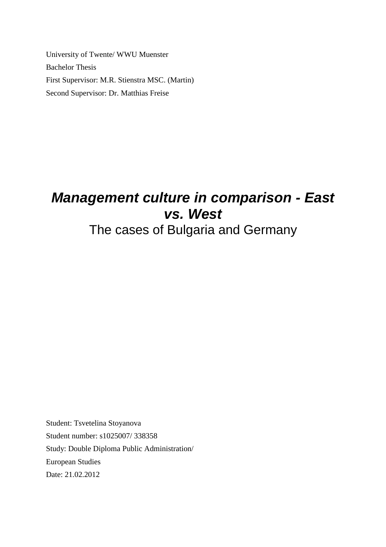University of Twente/ WWU Muenster Bachelor Thesis First Supervisor: M.R. Stienstra MSC. (Martin) Second Supervisor: Dr. Matthias Freise

# **Management culture in comparison - East vs. West**

The cases of Bulgaria and Germany

Student: Tsvetelina Stoyanova Student number: s1025007/ 338358 Study: Double Diploma Public Administration/ European Studies Date: 21.02.2012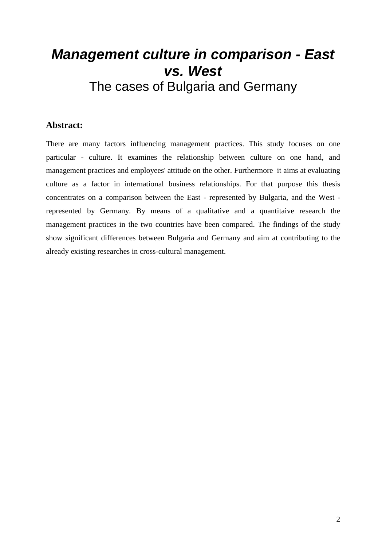# **Management culture in comparison - East vs. West**  The cases of Bulgaria and Germany

### **Abstract:**

There are many factors influencing management practices. This study focuses on one particular - culture. It examines the relationship between culture on one hand, and management practices and employees' attitude on the other. Furthermore it aims at evaluating culture as a factor in international business relationships. For that purpose this thesis concentrates on a comparison between the East - represented by Bulgaria, and the West represented by Germany. By means of a qualitative and a quantitaive research the management practices in the two countries have been compared. The findings of the study show significant differences between Bulgaria and Germany and aim at contributing to the already existing researches in cross-cultural management.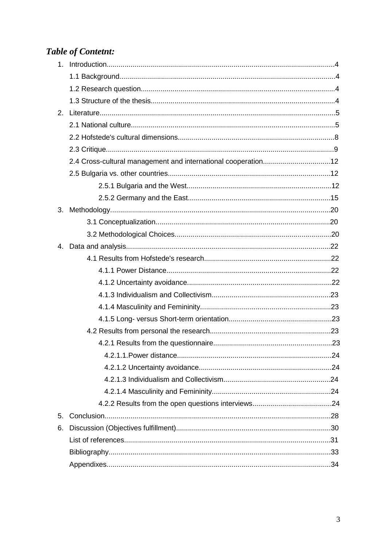# **Table of Contetnt:**

| 2. |                                                               |  |
|----|---------------------------------------------------------------|--|
|    |                                                               |  |
|    |                                                               |  |
|    |                                                               |  |
|    | 2.4 Cross-cultural management and international cooperation12 |  |
|    |                                                               |  |
|    |                                                               |  |
|    |                                                               |  |
| 3. |                                                               |  |
|    |                                                               |  |
|    |                                                               |  |
|    |                                                               |  |
|    |                                                               |  |
|    |                                                               |  |
|    |                                                               |  |
|    |                                                               |  |
|    |                                                               |  |
|    |                                                               |  |
|    |                                                               |  |
|    |                                                               |  |
|    |                                                               |  |
|    |                                                               |  |
|    |                                                               |  |
|    |                                                               |  |
|    |                                                               |  |
| 5. |                                                               |  |
| 6. |                                                               |  |
|    |                                                               |  |
|    |                                                               |  |
|    |                                                               |  |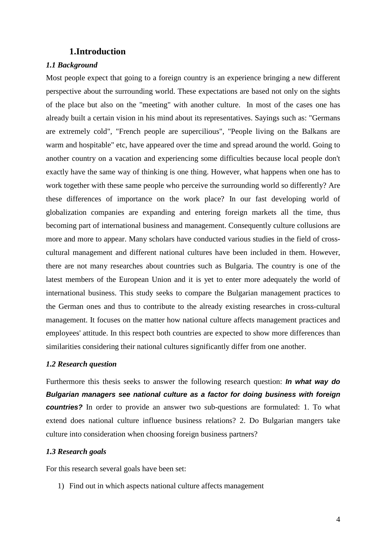#### **1.Introduction**

#### *1.1 Background*

Most people expect that going to a foreign country is an experience bringing a new different perspective about the surrounding world. These expectations are based not only on the sights of the place but also on the "meeting" with another culture. In most of the cases one has already built a certain vision in his mind about its representatives. Sayings such as: "Germans are extremely cold", "French people are supercilious", "People living on the Balkans are warm and hospitable" etc, have appeared over the time and spread around the world. Going to another country on a vacation and experiencing some difficulties because local people don't exactly have the same way of thinking is one thing. However, what happens when one has to work together with these same people who perceive the surrounding world so differently? Are these differences of importance on the work place? In our fast developing world of globalization companies are expanding and entering foreign markets all the time, thus becoming part of international business and management. Consequently culture collusions are more and more to appear. Many scholars have conducted various studies in the field of crosscultural management and different national cultures have been included in them. However, there are not many researches about countries such as Bulgaria. The country is one of the latest members of the European Union and it is yet to enter more adequately the world of international business. This study seeks to compare the Bulgarian management practices to the German ones and thus to contribute to the already existing researches in cross-cultural management. It focuses on the matter how national culture affects management practices and employees' attitude. In this respect both countries are expected to show more differences than similarities considering their national cultures significantly differ from one another.

#### *1.2 Research question*

Furthermore this thesis seeks to answer the following research question: **In what way do Bulgarian managers see national culture as a factor for doing business with foreign countries?** In order to provide an answer two sub-questions are formulated: 1. To what extend does national culture influence business relations? 2. Do Bulgarian mangers take culture into consideration when choosing foreign business partners?

#### *1.3 Research goals*

For this research several goals have been set:

1) Find out in which aspects national culture affects management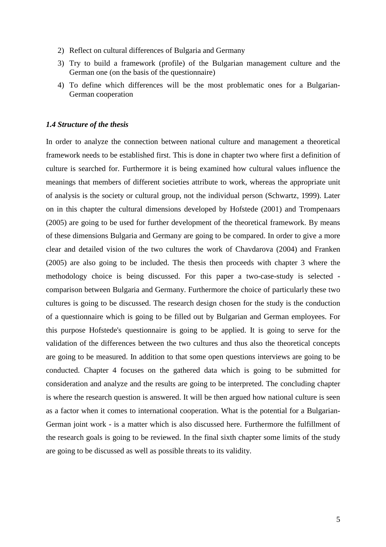- 2) Reflect on cultural differences of Bulgaria and Germany
- 3) Try to build a framework (profile) of the Bulgarian management culture and the German one (on the basis of the questionnaire)
- 4) To define which differences will be the most problematic ones for a Bulgarian-German cooperation

#### *1.4 Structure of the thesis*

In order to analyze the connection between national culture and management a theoretical framework needs to be established first. This is done in chapter two where first a definition of culture is searched for. Furthermore it is being examined how cultural values influence the meanings that members of different societies attribute to work, whereas the appropriate unit of analysis is the society or cultural group, not the individual person (Schwartz, 1999). Later on in this chapter the cultural dimensions developed by Hofstede (2001) and Trompenaars (2005) are going to be used for further development of the theoretical framework. By means of these dimensions Bulgaria and Germany are going to be compared. In order to give a more clear and detailed vision of the two cultures the work of Chavdarova (2004) and Franken (2005) are also going to be included. The thesis then proceeds with chapter 3 where the methodology choice is being discussed. For this paper a two-case-study is selected comparison between Bulgaria and Germany. Furthermore the choice of particularly these two cultures is going to be discussed. The research design chosen for the study is the conduction of a questionnaire which is going to be filled out by Bulgarian and German employees. For this purpose Hofstede's questionnaire is going to be applied. It is going to serve for the validation of the differences between the two cultures and thus also the theoretical concepts are going to be measured. In addition to that some open questions interviews are going to be conducted. Chapter 4 focuses on the gathered data which is going to be submitted for consideration and analyze and the results are going to be interpreted. The concluding chapter is where the research question is answered. It will be then argued how national culture is seen as a factor when it comes to international cooperation. What is the potential for a Bulgarian-German joint work - is a matter which is also discussed here. Furthermore the fulfillment of the research goals is going to be reviewed. In the final sixth chapter some limits of the study are going to be discussed as well as possible threats to its validity.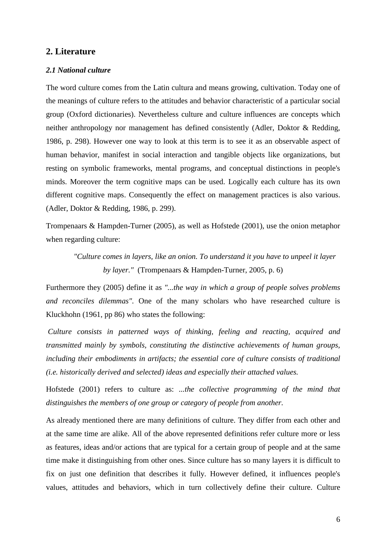#### **2. Literature**

#### *2.1 National culture*

The word culture comes from the Latin cultura and means growing, cultivation. Today one of the meanings of culture refers to the attitudes and behavior characteristic of a particular social group (Oxford dictionaries). Nevertheless culture and culture influences are concepts which neither anthropology nor management has defined consistently (Adler, Doktor & Redding, 1986, p. 298). However one way to look at this term is to see it as an observable aspect of human behavior, manifest in social interaction and tangible objects like organizations, but resting on symbolic frameworks, mental programs, and conceptual distinctions in people's minds. Moreover the term cognitive maps can be used. Logically each culture has its own different cognitive maps. Consequently the effect on management practices is also various. (Adler, Doktor & Redding, 1986, p. 299).

Trompenaars & Hampden-Turner (2005), as well as Hofstede (2001), use the onion metaphor when regarding culture:

*"Culture comes in layers, like an onion. To understand it you have to unpeel it layer by layer."* (Trompenaars & Hampden-Turner, 2005, p. 6)

Furthermore they (2005) define it as *"...the way in which a group of people solves problems and reconciles dilemmas".* One of the many scholars who have researched culture is Kluckhohn (1961, pp 86) who states the following:

*Culture consists in patterned ways of thinking, feeling and reacting, acquired and transmitted mainly by symbols, constituting the distinctive achievements of human groups, including their embodiments in artifacts; the essential core of culture consists of traditional (i.e. historically derived and selected) ideas and especially their attached values.* 

Hofstede (2001) refers to culture as: *...the collective programming of the mind that distinguishes the members of one group or category of people from another.* 

As already mentioned there are many definitions of culture. They differ from each other and at the same time are alike. All of the above represented definitions refer culture more or less as features, ideas and/or actions that are typical for a certain group of people and at the same time make it distinguishing from other ones. Since culture has so many layers it is difficult to fix on just one definition that describes it fully. However defined, it influences people's values, attitudes and behaviors, which in turn collectively define their culture. Culture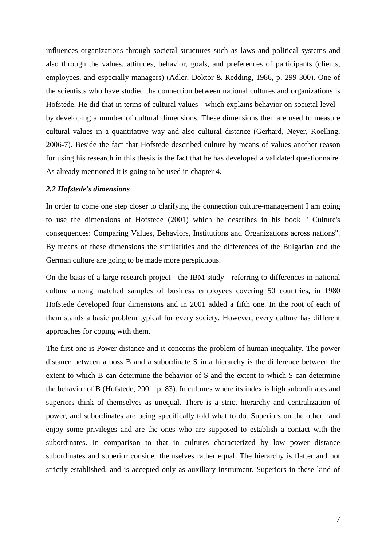influences organizations through societal structures such as laws and political systems and also through the values, attitudes, behavior, goals, and preferences of participants (clients, employees, and especially managers) (Adler, Doktor & Redding, 1986, p. 299-300). One of the scientists who have studied the connection between national cultures and organizations is Hofstede. He did that in terms of cultural values - which explains behavior on societal level by developing a number of cultural dimensions. These dimensions then are used to measure cultural values in a quantitative way and also cultural distance (Gerhard, Neyer, Koelling, 2006-7). Beside the fact that Hofstede described culture by means of values another reason for using his research in this thesis is the fact that he has developed a validated questionnaire. As already mentioned it is going to be used in chapter 4.

#### *2.2 Hofstede's dimensions*

In order to come one step closer to clarifying the connection culture-management I am going to use the dimensions of Hofstede (2001) which he describes in his book " Culture's consequences: Comparing Values, Behaviors, Institutions and Organizations across nations". By means of these dimensions the similarities and the differences of the Bulgarian and the German culture are going to be made more perspicuous.

On the basis of a large research project - the IBM study - referring to differences in national culture among matched samples of business employees covering 50 countries, in 1980 Hofstede developed four dimensions and in 2001 added a fifth one. In the root of each of them stands a basic problem typical for every society. However, every culture has different approaches for coping with them.

The first one is Power distance and it concerns the problem of human inequality. The power distance between a boss B and a subordinate S in a hierarchy is the difference between the extent to which B can determine the behavior of S and the extent to which S can determine the behavior of B (Hofstede, 2001, p. 83). In cultures where its index is high subordinates and superiors think of themselves as unequal. There is a strict hierarchy and centralization of power, and subordinates are being specifically told what to do. Superiors on the other hand enjoy some privileges and are the ones who are supposed to establish a contact with the subordinates. In comparison to that in cultures characterized by low power distance subordinates and superior consider themselves rather equal. The hierarchy is flatter and not strictly established, and is accepted only as auxiliary instrument. Superiors in these kind of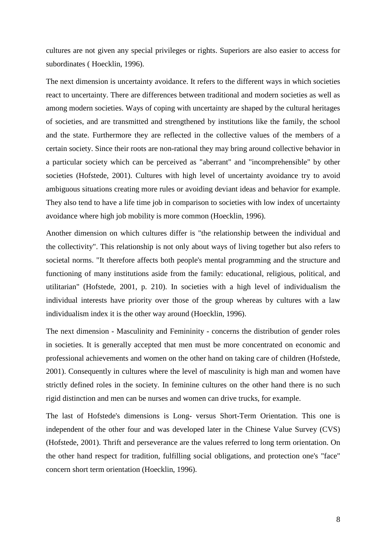cultures are not given any special privileges or rights. Superiors are also easier to access for subordinates ( Hoecklin, 1996).

The next dimension is uncertainty avoidance. It refers to the different ways in which societies react to uncertainty. There are differences between traditional and modern societies as well as among modern societies. Ways of coping with uncertainty are shaped by the cultural heritages of societies, and are transmitted and strengthened by institutions like the family, the school and the state. Furthermore they are reflected in the collective values of the members of a certain society. Since their roots are non-rational they may bring around collective behavior in a particular society which can be perceived as "aberrant" and "incomprehensible" by other societies (Hofstede, 2001). Cultures with high level of uncertainty avoidance try to avoid ambiguous situations creating more rules or avoiding deviant ideas and behavior for example. They also tend to have a life time job in comparison to societies with low index of uncertainty avoidance where high job mobility is more common (Hoecklin, 1996).

Another dimension on which cultures differ is "the relationship between the individual and the collectivity". This relationship is not only about ways of living together but also refers to societal norms. "It therefore affects both people's mental programming and the structure and functioning of many institutions aside from the family: educational, religious, political, and utilitarian" (Hofstede, 2001, p. 210). In societies with a high level of individualism the individual interests have priority over those of the group whereas by cultures with a law individualism index it is the other way around (Hoecklin, 1996).

The next dimension - Masculinity and Femininity - concerns the distribution of gender roles in societies. It is generally accepted that men must be more concentrated on economic and professional achievements and women on the other hand on taking care of children (Hofstede, 2001). Consequently in cultures where the level of masculinity is high man and women have strictly defined roles in the society. In feminine cultures on the other hand there is no such rigid distinction and men can be nurses and women can drive trucks, for example.

The last of Hofstede's dimensions is Long- versus Short-Term Orientation. This one is independent of the other four and was developed later in the Chinese Value Survey (CVS) (Hofstede, 2001). Thrift and perseverance are the values referred to long term orientation. On the other hand respect for tradition, fulfilling social obligations, and protection one's "face" concern short term orientation (Hoecklin, 1996).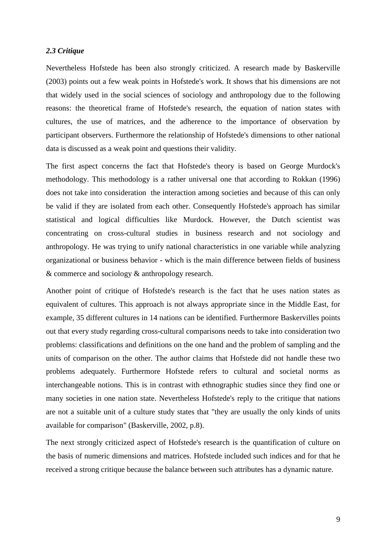#### *2.3 Critique*

Nevertheless Hofstede has been also strongly criticized. A research made by Baskerville (2003) points out a few weak points in Hofstede's work. It shows that his dimensions are not that widely used in the social sciences of sociology and anthropology due to the following reasons: the theoretical frame of Hofstede's research, the equation of nation states with cultures, the use of matrices, and the adherence to the importance of observation by participant observers. Furthermore the relationship of Hofstede's dimensions to other national data is discussed as a weak point and questions their validity.

The first aspect concerns the fact that Hofstede's theory is based on George Murdock's methodology. This methodology is a rather universal one that according to Rokkan (1996) does not take into consideration the interaction among societies and because of this can only be valid if they are isolated from each other. Consequently Hofstede's approach has similar statistical and logical difficulties like Murdock. However, the Dutch scientist was concentrating on cross-cultural studies in business research and not sociology and anthropology. He was trying to unify national characteristics in one variable while analyzing organizational or business behavior - which is the main difference between fields of business & commerce and sociology & anthropology research.

Another point of critique of Hofstede's research is the fact that he uses nation states as equivalent of cultures. This approach is not always appropriate since in the Middle East, for example, 35 different cultures in 14 nations can be identified. Furthermore Baskervilles points out that every study regarding cross-cultural comparisons needs to take into consideration two problems: classifications and definitions on the one hand and the problem of sampling and the units of comparison on the other. The author claims that Hofstede did not handle these two problems adequately. Furthermore Hofstede refers to cultural and societal norms as interchangeable notions. This is in contrast with ethnographic studies since they find one or many societies in one nation state. Nevertheless Hofstede's reply to the critique that nations are not a suitable unit of a culture study states that "they are usually the only kinds of units available for comparison" (Baskerville, 2002, p.8).

The next strongly criticized aspect of Hofstede's research is the quantification of culture on the basis of numeric dimensions and matrices. Hofstede included such indices and for that he received a strong critique because the balance between such attributes has a dynamic nature.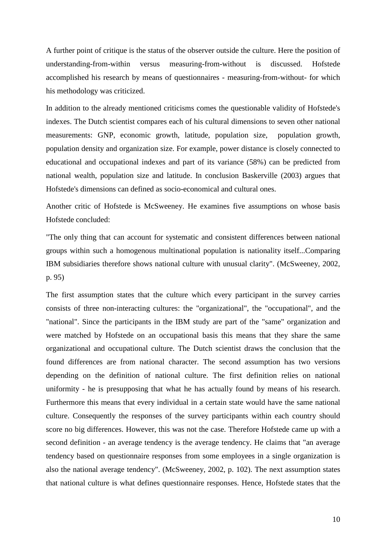A further point of critique is the status of the observer outside the culture. Here the position of understanding-from-within versus measuring-from-without is discussed. Hofstede accomplished his research by means of questionnaires - measuring-from-without- for which his methodology was criticized.

In addition to the already mentioned criticisms comes the questionable validity of Hofstede's indexes. The Dutch scientist compares each of his cultural dimensions to seven other national measurements: GNP, economic growth, latitude, population size, population growth, population density and organization size. For example, power distance is closely connected to educational and occupational indexes and part of its variance (58%) can be predicted from national wealth, population size and latitude. In conclusion Baskerville (2003) argues that Hofstede's dimensions can defined as socio-economical and cultural ones.

Another critic of Hofstede is McSweeney. He examines five assumptions on whose basis Hofstede concluded:

"The only thing that can account for systematic and consistent differences between national groups within such a homogenous multinational population is nationality itself...Comparing IBM subsidiaries therefore shows national culture with unusual clarity". (McSweeney, 2002, p. 95)

The first assumption states that the culture which every participant in the survey carries consists of three non-interacting cultures: the "organizational", the "occupational", and the "national". Since the participants in the IBM study are part of the "same" organization and were matched by Hofstede on an occupational basis this means that they share the same organizational and occupational culture. The Dutch scientist draws the conclusion that the found differences are from national character. The second assumption has two versions depending on the definition of national culture. The first definition relies on national uniformity - he is presupposing that what he has actually found by means of his research. Furthermore this means that every individual in a certain state would have the same national culture. Consequently the responses of the survey participants within each country should score no big differences. However, this was not the case. Therefore Hofstede came up with a second definition - an average tendency is the average tendency. He claims that "an average tendency based on questionnaire responses from some employees in a single organization is also the national average tendency". (McSweeney, 2002, p. 102). The next assumption states that national culture is what defines questionnaire responses. Hence, Hofstede states that the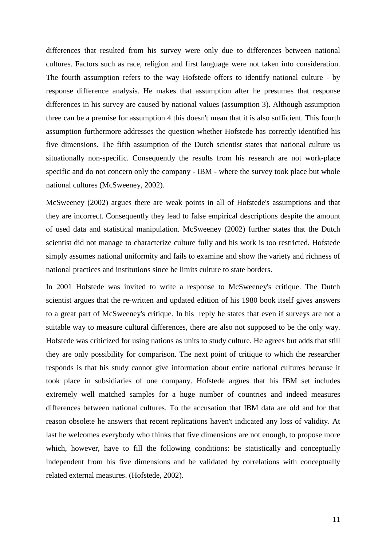differences that resulted from his survey were only due to differences between national cultures. Factors such as race, religion and first language were not taken into consideration. The fourth assumption refers to the way Hofstede offers to identify national culture - by response difference analysis. He makes that assumption after he presumes that response differences in his survey are caused by national values (assumption 3). Although assumption three can be a premise for assumption 4 this doesn't mean that it is also sufficient. This fourth assumption furthermore addresses the question whether Hofstede has correctly identified his five dimensions. The fifth assumption of the Dutch scientist states that national culture us situationally non-specific. Consequently the results from his research are not work-place specific and do not concern only the company - IBM - where the survey took place but whole national cultures (McSweeney, 2002).

McSweeney (2002) argues there are weak points in all of Hofstede's assumptions and that they are incorrect. Consequently they lead to false empirical descriptions despite the amount of used data and statistical manipulation. McSweeney (2002) further states that the Dutch scientist did not manage to characterize culture fully and his work is too restricted. Hofstede simply assumes national uniformity and fails to examine and show the variety and richness of national practices and institutions since he limits culture to state borders.

In 2001 Hofstede was invited to write a response to McSweeney's critique. The Dutch scientist argues that the re-written and updated edition of his 1980 book itself gives answers to a great part of McSweeney's critique. In his reply he states that even if surveys are not a suitable way to measure cultural differences, there are also not supposed to be the only way. Hofstede was criticized for using nations as units to study culture. He agrees but adds that still they are only possibility for comparison. The next point of critique to which the researcher responds is that his study cannot give information about entire national cultures because it took place in subsidiaries of one company. Hofstede argues that his IBM set includes extremely well matched samples for a huge number of countries and indeed measures differences between national cultures. To the accusation that IBM data are old and for that reason obsolete he answers that recent replications haven't indicated any loss of validity. At last he welcomes everybody who thinks that five dimensions are not enough, to propose more which, however, have to fill the following conditions: be statistically and conceptually independent from his five dimensions and be validated by correlations with conceptually related external measures. (Hofstede, 2002).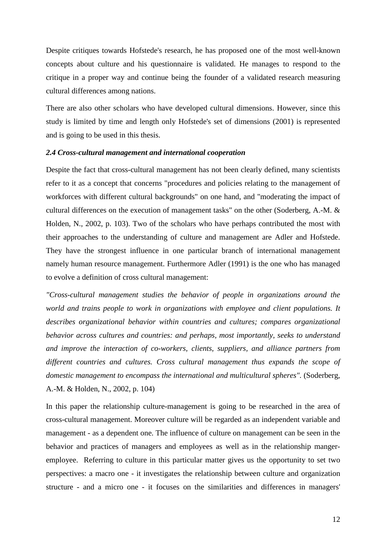Despite critiques towards Hofstede's research, he has proposed one of the most well-known concepts about culture and his questionnaire is validated. He manages to respond to the critique in a proper way and continue being the founder of a validated research measuring cultural differences among nations.

There are also other scholars who have developed cultural dimensions. However, since this study is limited by time and length only Hofstede's set of dimensions (2001) is represented and is going to be used in this thesis.

#### *2.4 Cross-cultural management and international cooperation*

Despite the fact that cross-cultural management has not been clearly defined, many scientists refer to it as a concept that concerns "procedures and policies relating to the management of workforces with different cultural backgrounds" on one hand, and "moderating the impact of cultural differences on the execution of management tasks" on the other (Soderberg, A.-M. & Holden, N., 2002, p. 103). Two of the scholars who have perhaps contributed the most with their approaches to the understanding of culture and management are Adler and Hofstede. They have the strongest influence in one particular branch of international management namely human resource management. Furthermore Adler (1991) is the one who has managed to evolve a definition of cross cultural management:

*"Cross-cultural management studies the behavior of people in organizations around the world and trains people to work in organizations with employee and client populations. It describes organizational behavior within countries and cultures; compares organizational behavior across cultures and countries: and perhaps, most importantly, seeks to understand and improve the interaction of co-workers, clients, suppliers, and alliance partners from different countries and cultures. Cross cultural management thus expands the scope of domestic management to encompass the international and multicultural spheres".* (Soderberg, A.-M. & Holden, N., 2002, p. 104)

In this paper the relationship culture-management is going to be researched in the area of cross-cultural management. Moreover culture will be regarded as an independent variable and management - as a dependent one. The influence of culture on management can be seen in the behavior and practices of managers and employees as well as in the relationship mangeremployee. Referring to culture in this particular matter gives us the opportunity to set two perspectives: a macro one - it investigates the relationship between culture and organization structure - and a micro one - it focuses on the similarities and differences in managers'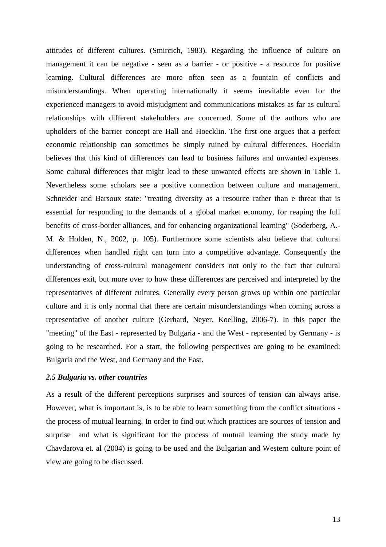attitudes of different cultures. (Smircich, 1983). Regarding the influence of culture on management it can be negative - seen as a barrier - or positive - a resource for positive learning. Cultural differences are more often seen as a fountain of conflicts and misunderstandings. When operating internationally it seems inevitable even for the experienced managers to avoid misjudgment and communications mistakes as far as cultural relationships with different stakeholders are concerned. Some of the authors who are upholders of the barrier concept are Hall and Hoecklin. The first one argues that a perfect economic relationship can sometimes be simply ruined by cultural differences. Hoecklin believes that this kind of differences can lead to business failures and unwanted expenses. Some cultural differences that might lead to these unwanted effects are shown in Table 1. Nevertheless some scholars see a positive connection between culture and management. Schneider and Barsoux state: "treating diversity as a resource rather than e threat that is essential for responding to the demands of a global market economy, for reaping the full benefits of cross-border alliances, and for enhancing organizational learning" (Soderberg, A.- M. & Holden, N., 2002, p. 105). Furthermore some scientists also believe that cultural differences when handled right can turn into a competitive advantage. Consequently the understanding of cross-cultural management considers not only to the fact that cultural differences exit, but more over to how these differences are perceived and interpreted by the representatives of different cultures. Generally every person grows up within one particular culture and it is only normal that there are certain misunderstandings when coming across a representative of another culture (Gerhard, Neyer, Koelling, 2006-7). In this paper the "meeting" of the East - represented by Bulgaria - and the West - represented by Germany - is going to be researched. For a start, the following perspectives are going to be examined: Bulgaria and the West, and Germany and the East.

#### *2.5 Bulgaria vs. other countries*

As a result of the different perceptions surprises and sources of tension can always arise. However, what is important is, is to be able to learn something from the conflict situations the process of mutual learning. In order to find out which practices are sources of tension and surprise and what is significant for the process of mutual learning the study made by Chavdarova et. al (2004) is going to be used and the Bulgarian and Western culture point of view are going to be discussed.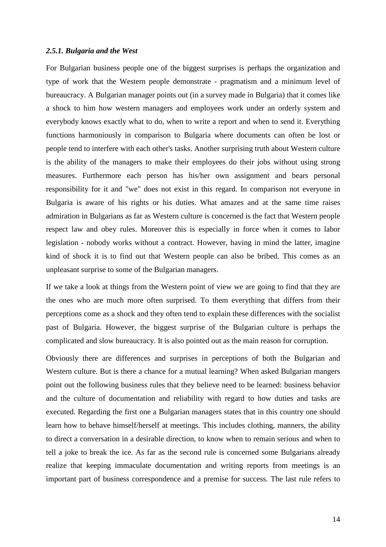#### *2.5.1. Bulgaria and the West*

For Bulgarian business people one of the biggest surprises is perhaps the organization and type of work that the Western people demonstrate - pragmatism and a minimum level of bureaucracy. A Bulgarian manager points out (in a survey made in Bulgaria) that it comes like a shock to him how western managers and employees work under an orderly system and everybody knows exactly what to do, when to write a report and when to send it. Everything functions harmoniously in comparison to Bulgaria where documents can often be lost or people tend to interfere with each other's tasks. Another surprising truth about Western culture is the ability of the managers to make their employees do their jobs without using strong measures. Furthermore each person has his/her own assignment and bears personal responsibility for it and "we" does not exist in this regard. In comparison not everyone in Bulgaria is aware of his rights or his duties. What amazes and at the same time raises admiration in Bulgarians as far as Western culture is concerned is the fact that Western people respect law and obey rules. Moreover this is especially in force when it comes to labor legislation - nobody works without a contract. However, having in mind the latter, imagine kind of shock it is to find out that Western people can also be bribed. This comes as an unpleasant surprise to some of the Bulgarian managers.

If we take a look at things from the Western point of view we are going to find that they are the ones who are much more often surprised. To them everything that differs from their perceptions come as a shock and they often tend to explain these differences with the socialist past of Bulgaria. However, the biggest surprise of the Bulgarian culture is perhaps the complicated and slow bureaucracy. It is also pointed out as the main reason for corruption.

Obviously there are differences and surprises in perceptions of both the Bulgarian and Western culture. But is there a chance for a mutual learning? When asked Bulgarian mangers point out the following business rules that they believe need to be learned: business behavior and the culture of documentation and reliability with regard to how duties and tasks are executed. Regarding the first one a Bulgarian managers states that in this country one should learn how to behave himself/herself at meetings. This includes clothing, manners, the ability to direct a conversation in a desirable direction, to know when to remain serious and when to tell a joke to break the ice. As far as the second rule is concerned some Bulgarians already realize that keeping immaculate documentation and writing reports from meetings is an important part of business correspondence and a premise for success. The last rule refers to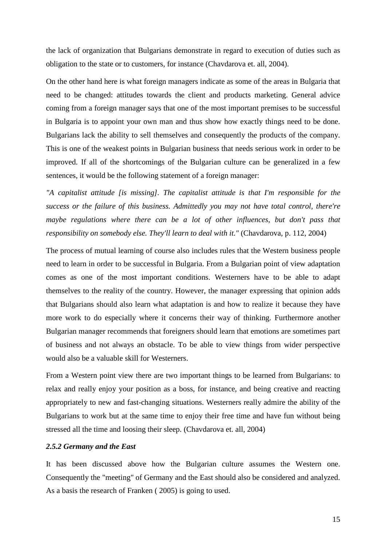the lack of organization that Bulgarians demonstrate in regard to execution of duties such as obligation to the state or to customers, for instance (Chavdarova et. all, 2004).

On the other hand here is what foreign managers indicate as some of the areas in Bulgaria that need to be changed: attitudes towards the client and products marketing. General advice coming from a foreign manager says that one of the most important premises to be successful in Bulgaria is to appoint your own man and thus show how exactly things need to be done. Bulgarians lack the ability to sell themselves and consequently the products of the company. This is one of the weakest points in Bulgarian business that needs serious work in order to be improved. If all of the shortcomings of the Bulgarian culture can be generalized in a few sentences, it would be the following statement of a foreign manager:

*"A capitalist attitude [is missing]. The capitalist attitude is that I'm responsible for the success or the failure of this business. Admittedly you may not have total control, there're maybe regulations where there can be a lot of other influences, but don't pass that responsibility on somebody else. They'll learn to deal with it."* (Chavdarova, p. 112, 2004)

The process of mutual learning of course also includes rules that the Western business people need to learn in order to be successful in Bulgaria. From a Bulgarian point of view adaptation comes as one of the most important conditions. Westerners have to be able to adapt themselves to the reality of the country. However, the manager expressing that opinion adds that Bulgarians should also learn what adaptation is and how to realize it because they have more work to do especially where it concerns their way of thinking. Furthermore another Bulgarian manager recommends that foreigners should learn that emotions are sometimes part of business and not always an obstacle. To be able to view things from wider perspective would also be a valuable skill for Westerners.

From a Western point view there are two important things to be learned from Bulgarians: to relax and really enjoy your position as a boss, for instance, and being creative and reacting appropriately to new and fast-changing situations. Westerners really admire the ability of the Bulgarians to work but at the same time to enjoy their free time and have fun without being stressed all the time and loosing their sleep. (Chavdarova et. all, 2004)

#### *2.5.2 Germany and the East*

It has been discussed above how the Bulgarian culture assumes the Western one. Consequently the "meeting" of Germany and the East should also be considered and analyzed. As a basis the research of Franken ( 2005) is going to used.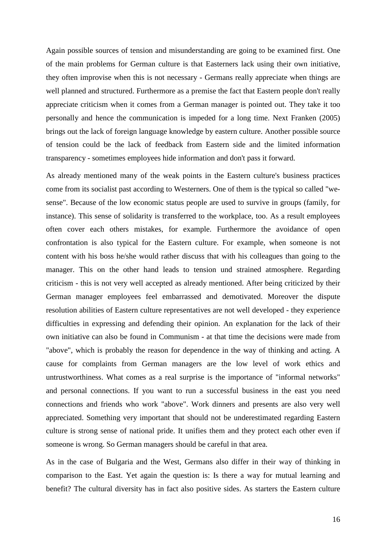Again possible sources of tension and misunderstanding are going to be examined first. One of the main problems for German culture is that Easterners lack using their own initiative, they often improvise when this is not necessary - Germans really appreciate when things are well planned and structured. Furthermore as a premise the fact that Eastern people don't really appreciate criticism when it comes from a German manager is pointed out. They take it too personally and hence the communication is impeded for a long time. Next Franken (2005) brings out the lack of foreign language knowledge by eastern culture. Another possible source of tension could be the lack of feedback from Eastern side and the limited information transparency - sometimes employees hide information and don't pass it forward.

As already mentioned many of the weak points in the Eastern culture's business practices come from its socialist past according to Westerners. One of them is the typical so called "wesense". Because of the low economic status people are used to survive in groups (family, for instance). This sense of solidarity is transferred to the workplace, too. As a result employees often cover each others mistakes, for example. Furthermore the avoidance of open confrontation is also typical for the Eastern culture. For example, when someone is not content with his boss he/she would rather discuss that with his colleagues than going to the manager. This on the other hand leads to tension und strained atmosphere. Regarding criticism - this is not very well accepted as already mentioned. After being criticized by their German manager employees feel embarrassed and demotivated. Moreover the dispute resolution abilities of Eastern culture representatives are not well developed - they experience difficulties in expressing and defending their opinion. An explanation for the lack of their own initiative can also be found in Communism - at that time the decisions were made from "above", which is probably the reason for dependence in the way of thinking and acting. A cause for complaints from German managers are the low level of work ethics and untrustworthiness. What comes as a real surprise is the importance of "informal networks" and personal connections. If you want to run a successful business in the east you need connections and friends who work "above". Work dinners and presents are also very well appreciated. Something very important that should not be underestimated regarding Eastern culture is strong sense of national pride. It unifies them and they protect each other even if someone is wrong. So German managers should be careful in that area.

As in the case of Bulgaria and the West, Germans also differ in their way of thinking in comparison to the East. Yet again the question is: Is there a way for mutual learning and benefit? The cultural diversity has in fact also positive sides. As starters the Eastern culture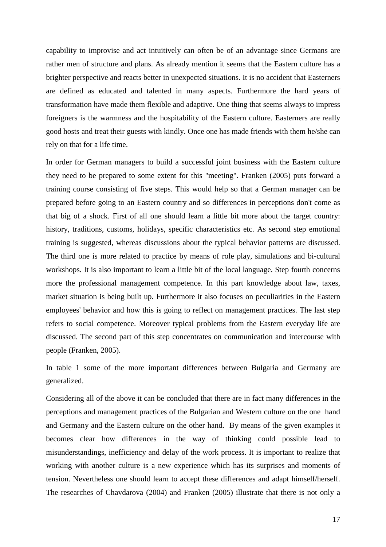capability to improvise and act intuitively can often be of an advantage since Germans are rather men of structure and plans. As already mention it seems that the Eastern culture has a brighter perspective and reacts better in unexpected situations. It is no accident that Easterners are defined as educated and talented in many aspects. Furthermore the hard years of transformation have made them flexible and adaptive. One thing that seems always to impress foreigners is the warmness and the hospitability of the Eastern culture. Easterners are really good hosts and treat their guests with kindly. Once one has made friends with them he/she can rely on that for a life time.

In order for German managers to build a successful joint business with the Eastern culture they need to be prepared to some extent for this "meeting". Franken (2005) puts forward a training course consisting of five steps. This would help so that a German manager can be prepared before going to an Eastern country and so differences in perceptions don't come as that big of a shock. First of all one should learn a little bit more about the target country: history, traditions, customs, holidays, specific characteristics etc. As second step emotional training is suggested, whereas discussions about the typical behavior patterns are discussed. The third one is more related to practice by means of role play, simulations and bi-cultural workshops. It is also important to learn a little bit of the local language. Step fourth concerns more the professional management competence. In this part knowledge about law, taxes, market situation is being built up. Furthermore it also focuses on peculiarities in the Eastern employees' behavior and how this is going to reflect on management practices. The last step refers to social competence. Moreover typical problems from the Eastern everyday life are discussed. The second part of this step concentrates on communication and intercourse with people (Franken, 2005).

In table 1 some of the more important differences between Bulgaria and Germany are generalized.

Considering all of the above it can be concluded that there are in fact many differences in the perceptions and management practices of the Bulgarian and Western culture on the one hand and Germany and the Eastern culture on the other hand. By means of the given examples it becomes clear how differences in the way of thinking could possible lead to misunderstandings, inefficiency and delay of the work process. It is important to realize that working with another culture is a new experience which has its surprises and moments of tension. Nevertheless one should learn to accept these differences and adapt himself/herself. The researches of Chavdarova (2004) and Franken (2005) illustrate that there is not only a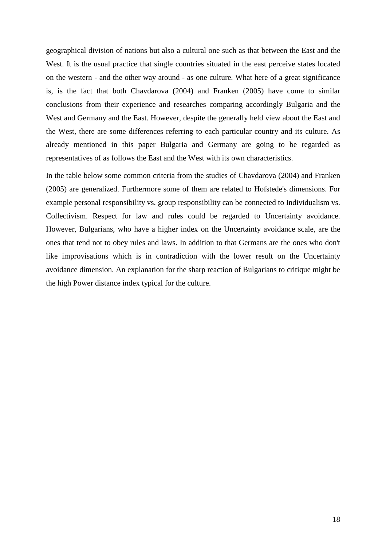geographical division of nations but also a cultural one such as that between the East and the West. It is the usual practice that single countries situated in the east perceive states located on the western - and the other way around - as one culture. What here of a great significance is, is the fact that both Chavdarova (2004) and Franken (2005) have come to similar conclusions from their experience and researches comparing accordingly Bulgaria and the West and Germany and the East. However, despite the generally held view about the East and the West, there are some differences referring to each particular country and its culture. As already mentioned in this paper Bulgaria and Germany are going to be regarded as representatives of as follows the East and the West with its own characteristics.

In the table below some common criteria from the studies of Chavdarova (2004) and Franken (2005) are generalized. Furthermore some of them are related to Hofstede's dimensions. For example personal responsibility vs. group responsibility can be connected to Individualism vs. Collectivism. Respect for law and rules could be regarded to Uncertainty avoidance. However, Bulgarians, who have a higher index on the Uncertainty avoidance scale, are the ones that tend not to obey rules and laws. In addition to that Germans are the ones who don't like improvisations which is in contradiction with the lower result on the Uncertainty avoidance dimension. An explanation for the sharp reaction of Bulgarians to critique might be the high Power distance index typical for the culture.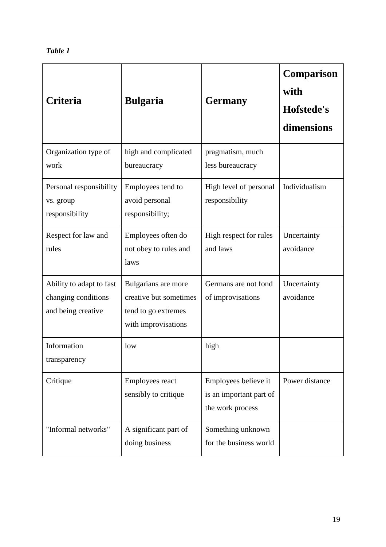| Table |  |
|-------|--|
|-------|--|

| <b>Criteria</b>                                                       | <b>Bulgaria</b>                                                                             | <b>Germany</b>                                                      | <b>Comparison</b><br>with<br>Hofstede's<br>dimensions |
|-----------------------------------------------------------------------|---------------------------------------------------------------------------------------------|---------------------------------------------------------------------|-------------------------------------------------------|
| Organization type of<br>work                                          | high and complicated<br>bureaucracy                                                         | pragmatism, much<br>less bureaucracy                                |                                                       |
| Personal responsibility<br>vs. group<br>responsibility                | Employees tend to<br>avoid personal<br>responsibility;                                      | High level of personal<br>responsibility                            | Individualism                                         |
| Respect for law and<br>rules                                          | Employees often do<br>not obey to rules and<br>laws                                         | High respect for rules<br>and laws                                  | Uncertainty<br>avoidance                              |
| Ability to adapt to fast<br>changing conditions<br>and being creative | Bulgarians are more<br>creative but sometimes<br>tend to go extremes<br>with improvisations | Germans are not fond<br>of improvisations                           | Uncertainty<br>avoidance                              |
| Information<br>transparency                                           | low                                                                                         | high                                                                |                                                       |
| Critique                                                              | <b>Employees react</b><br>sensibly to critique                                              | Employees believe it<br>is an important part of<br>the work process | Power distance                                        |
| "Informal networks"                                                   | A significant part of<br>doing business                                                     | Something unknown<br>for the business world                         |                                                       |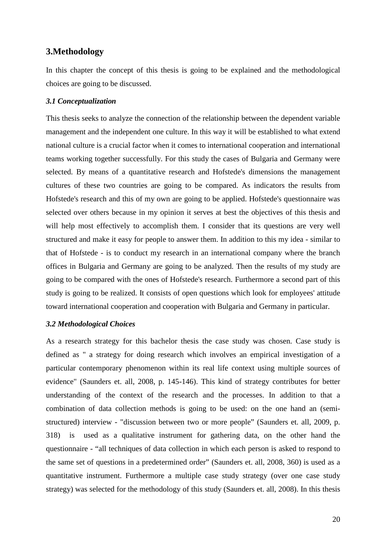#### **3.Methodology**

In this chapter the concept of this thesis is going to be explained and the methodological choices are going to be discussed.

#### *3.1 Conceptualization*

This thesis seeks to analyze the connection of the relationship between the dependent variable management and the independent one culture. In this way it will be established to what extend national culture is a crucial factor when it comes to international cooperation and international teams working together successfully. For this study the cases of Bulgaria and Germany were selected. By means of a quantitative research and Hofstede's dimensions the management cultures of these two countries are going to be compared. As indicators the results from Hofstede's research and this of my own are going to be applied. Hofstede's questionnaire was selected over others because in my opinion it serves at best the objectives of this thesis and will help most effectively to accomplish them. I consider that its questions are very well structured and make it easy for people to answer them. In addition to this my idea - similar to that of Hofstede - is to conduct my research in an international company where the branch offices in Bulgaria and Germany are going to be analyzed. Then the results of my study are going to be compared with the ones of Hofstede's research. Furthermore a second part of this study is going to be realized. It consists of open questions which look for employees' attitude toward international cooperation and cooperation with Bulgaria and Germany in particular.

#### *3.2 Methodological Choices*

As a research strategy for this bachelor thesis the case study was chosen. Case study is defined as " a strategy for doing research which involves an empirical investigation of a particular contemporary phenomenon within its real life context using multiple sources of evidence" (Saunders et. all, 2008, p. 145-146). This kind of strategy contributes for better understanding of the context of the research and the processes. In addition to that a combination of data collection methods is going to be used: on the one hand an (semistructured) interview - "discussion between two or more people" (Saunders et. all, 2009, p. 318) is used as a qualitative instrument for gathering data, on the other hand the questionnaire - "all techniques of data collection in which each person is asked to respond to the same set of questions in a predetermined order" (Saunders et. all, 2008, 360) is used as a quantitative instrument. Furthermore a multiple case study strategy (over one case study strategy) was selected for the methodology of this study (Saunders et. all, 2008). In this thesis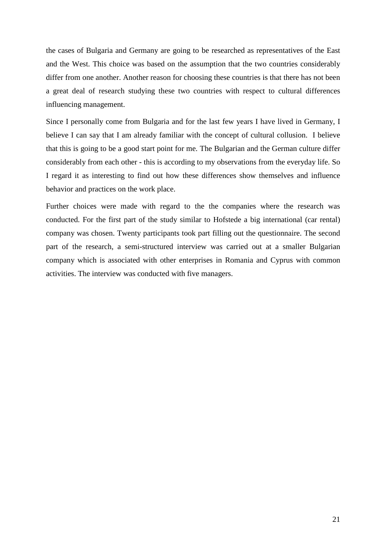the cases of Bulgaria and Germany are going to be researched as representatives of the East and the West. This choice was based on the assumption that the two countries considerably differ from one another. Another reason for choosing these countries is that there has not been a great deal of research studying these two countries with respect to cultural differences influencing management.

Since I personally come from Bulgaria and for the last few years I have lived in Germany, I believe I can say that I am already familiar with the concept of cultural collusion. I believe that this is going to be a good start point for me. The Bulgarian and the German culture differ considerably from each other - this is according to my observations from the everyday life. So I regard it as interesting to find out how these differences show themselves and influence behavior and practices on the work place.

Further choices were made with regard to the the companies where the research was conducted. For the first part of the study similar to Hofstede a big international (car rental) company was chosen. Twenty participants took part filling out the questionnaire. The second part of the research, a semi-structured interview was carried out at a smaller Bulgarian company which is associated with other enterprises in Romania and Cyprus with common activities. The interview was conducted with five managers.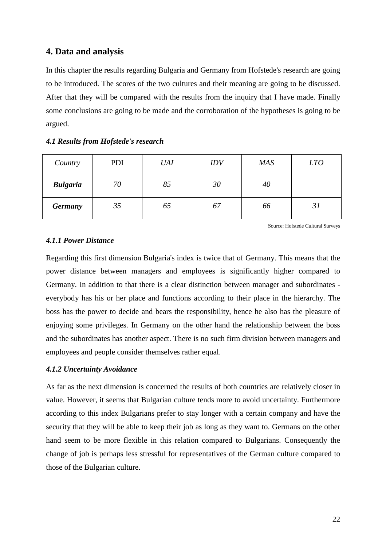### **4. Data and analysis**

In this chapter the results regarding Bulgaria and Germany from Hofstede's research are going to be introduced. The scores of the two cultures and their meaning are going to be discussed. After that they will be compared with the results from the inquiry that I have made. Finally some conclusions are going to be made and the corroboration of the hypotheses is going to be argued.

#### *4.1 Results from Hofstede's research*

| Country         | PDI | <b>UAI</b> | IDV | <b>MAS</b> | <i>LTO</i> |
|-----------------|-----|------------|-----|------------|------------|
| <b>Bulgaria</b> | 70  | 85         | 30  | 40         |            |
| <b>Germany</b>  | 35  | 65         | 67  | 66         | 31         |

Source: Hofstede Cultural Surveys

#### *4.1.1 Power Distance*

Regarding this first dimension Bulgaria's index is twice that of Germany. This means that the power distance between managers and employees is significantly higher compared to Germany. In addition to that there is a clear distinction between manager and subordinates everybody has his or her place and functions according to their place in the hierarchy. The boss has the power to decide and bears the responsibility, hence he also has the pleasure of enjoying some privileges. In Germany on the other hand the relationship between the boss and the subordinates has another aspect. There is no such firm division between managers and employees and people consider themselves rather equal.

#### *4.1.2 Uncertainty Avoidance*

As far as the next dimension is concerned the results of both countries are relatively closer in value. However, it seems that Bulgarian culture tends more to avoid uncertainty. Furthermore according to this index Bulgarians prefer to stay longer with a certain company and have the security that they will be able to keep their job as long as they want to. Germans on the other hand seem to be more flexible in this relation compared to Bulgarians. Consequently the change of job is perhaps less stressful for representatives of the German culture compared to those of the Bulgarian culture.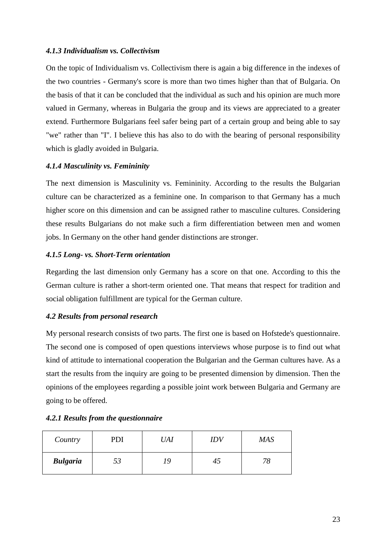#### *4.1.3 Individualism vs. Collectivism*

On the topic of Individualism vs. Collectivism there is again a big difference in the indexes of the two countries - Germany's score is more than two times higher than that of Bulgaria. On the basis of that it can be concluded that the individual as such and his opinion are much more valued in Germany, whereas in Bulgaria the group and its views are appreciated to a greater extend. Furthermore Bulgarians feel safer being part of a certain group and being able to say "we" rather than "I". I believe this has also to do with the bearing of personal responsibility which is gladly avoided in Bulgaria.

#### *4.1.4 Masculinity vs. Femininity*

The next dimension is Masculinity vs. Femininity. According to the results the Bulgarian culture can be characterized as a feminine one. In comparison to that Germany has a much higher score on this dimension and can be assigned rather to masculine cultures. Considering these results Bulgarians do not make such a firm differentiation between men and women jobs. In Germany on the other hand gender distinctions are stronger.

#### *4.1.5 Long- vs. Short-Term orientation*

Regarding the last dimension only Germany has a score on that one. According to this the German culture is rather a short-term oriented one. That means that respect for tradition and social obligation fulfillment are typical for the German culture.

#### *4.2 Results from personal research*

My personal research consists of two parts. The first one is based on Hofstede's questionnaire. The second one is composed of open questions interviews whose purpose is to find out what kind of attitude to international cooperation the Bulgarian and the German cultures have. As a start the results from the inquiry are going to be presented dimension by dimension. Then the opinions of the employees regarding a possible joint work between Bulgaria and Germany are going to be offered.

#### *4.2.1 Results from the questionnaire*

| Country         | PDI | UAI | <b>IDV</b> | <b>MAS</b> |
|-----------------|-----|-----|------------|------------|
| <b>Bulgaria</b> | 53  | 19  | 40         | 78         |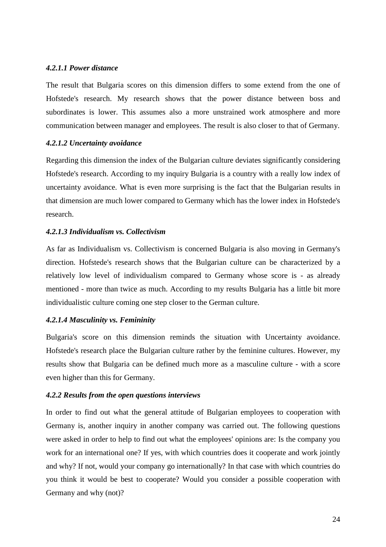#### *4.2.1.1 Power distance*

The result that Bulgaria scores on this dimension differs to some extend from the one of Hofstede's research. My research shows that the power distance between boss and subordinates is lower. This assumes also a more unstrained work atmosphere and more communication between manager and employees. The result is also closer to that of Germany.

#### *4.2.1.2 Uncertainty avoidance*

Regarding this dimension the index of the Bulgarian culture deviates significantly considering Hofstede's research. According to my inquiry Bulgaria is a country with a really low index of uncertainty avoidance. What is even more surprising is the fact that the Bulgarian results in that dimension are much lower compared to Germany which has the lower index in Hofstede's research.

#### *4.2.1.3 Individualism vs. Collectivism*

As far as Individualism vs. Collectivism is concerned Bulgaria is also moving in Germany's direction. Hofstede's research shows that the Bulgarian culture can be characterized by a relatively low level of individualism compared to Germany whose score is - as already mentioned - more than twice as much. According to my results Bulgaria has a little bit more individualistic culture coming one step closer to the German culture.

#### *4.2.1.4 Masculinity vs. Femininity*

Bulgaria's score on this dimension reminds the situation with Uncertainty avoidance. Hofstede's research place the Bulgarian culture rather by the feminine cultures. However, my results show that Bulgaria can be defined much more as a masculine culture - with a score even higher than this for Germany.

#### *4.2.2 Results from the open questions interviews*

In order to find out what the general attitude of Bulgarian employees to cooperation with Germany is, another inquiry in another company was carried out. The following questions were asked in order to help to find out what the employees' opinions are: Is the company you work for an international one? If yes, with which countries does it cooperate and work jointly and why? If not, would your company go internationally? In that case with which countries do you think it would be best to cooperate? Would you consider a possible cooperation with Germany and why (not)?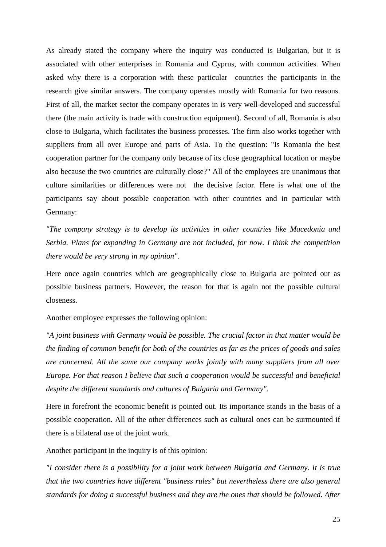As already stated the company where the inquiry was conducted is Bulgarian, but it is associated with other enterprises in Romania and Cyprus, with common activities. When asked why there is a corporation with these particular countries the participants in the research give similar answers. The company operates mostly with Romania for two reasons. First of all, the market sector the company operates in is very well-developed and successful there (the main activity is trade with construction equipment). Second of all, Romania is also close to Bulgaria, which facilitates the business processes. The firm also works together with suppliers from all over Europe and parts of Asia. To the question: "Is Romania the best cooperation partner for the company only because of its close geographical location or maybe also because the two countries are culturally close?" All of the employees are unanimous that culture similarities or differences were not the decisive factor. Here is what one of the participants say about possible cooperation with other countries and in particular with Germany:

*"The company strategy is to develop its activities in other countries like Macedonia and Serbia. Plans for expanding in Germany are not included, for now. I think the competition there would be very strong in my opinion".* 

Here once again countries which are geographically close to Bulgaria are pointed out as possible business partners. However, the reason for that is again not the possible cultural closeness.

Another employee expresses the following opinion:

*"A joint business with Germany would be possible. The crucial factor in that matter would be the finding of common benefit for both of the countries as far as the prices of goods and sales are concerned. All the same our company works jointly with many suppliers from all over Europe. For that reason I believe that such a cooperation would be successful and beneficial despite the different standards and cultures of Bulgaria and Germany".* 

Here in forefront the economic benefit is pointed out. Its importance stands in the basis of a possible cooperation. All of the other differences such as cultural ones can be surmounted if there is a bilateral use of the joint work.

Another participant in the inquiry is of this opinion:

*"I consider there is a possibility for a joint work between Bulgaria and Germany. It is true that the two countries have different "business rules" but nevertheless there are also general standards for doing a successful business and they are the ones that should be followed. After*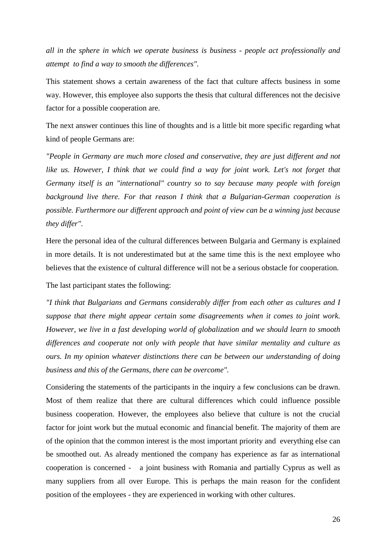*all in the sphere in which we operate business is business - people act professionally and attempt to find a way to smooth the differences".* 

This statement shows a certain awareness of the fact that culture affects business in some way. However, this employee also supports the thesis that cultural differences not the decisive factor for a possible cooperation are.

The next answer continues this line of thoughts and is a little bit more specific regarding what kind of people Germans are:

*"People in Germany are much more closed and conservative, they are just different and not like us. However, I think that we could find a way for joint work. Let's not forget that Germany itself is an "international" country so to say because many people with foreign background live there. For that reason I think that a Bulgarian-German cooperation is possible. Furthermore our different approach and point of view can be a winning just because they differ".* 

Here the personal idea of the cultural differences between Bulgaria and Germany is explained in more details. It is not underestimated but at the same time this is the next employee who believes that the existence of cultural difference will not be a serious obstacle for cooperation.

The last participant states the following:

*"I think that Bulgarians and Germans considerably differ from each other as cultures and I suppose that there might appear certain some disagreements when it comes to joint work. However, we live in a fast developing world of globalization and we should learn to smooth differences and cooperate not only with people that have similar mentality and culture as ours. In my opinion whatever distinctions there can be between our understanding of doing business and this of the Germans, there can be overcome".* 

Considering the statements of the participants in the inquiry a few conclusions can be drawn. Most of them realize that there are cultural differences which could influence possible business cooperation. However, the employees also believe that culture is not the crucial factor for joint work but the mutual economic and financial benefit. The majority of them are of the opinion that the common interest is the most important priority and everything else can be smoothed out. As already mentioned the company has experience as far as international cooperation is concerned - a joint business with Romania and partially Cyprus as well as many suppliers from all over Europe. This is perhaps the main reason for the confident position of the employees - they are experienced in working with other cultures.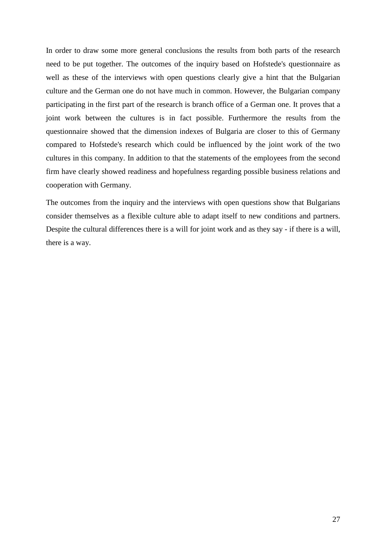In order to draw some more general conclusions the results from both parts of the research need to be put together. The outcomes of the inquiry based on Hofstede's questionnaire as well as these of the interviews with open questions clearly give a hint that the Bulgarian culture and the German one do not have much in common. However, the Bulgarian company participating in the first part of the research is branch office of a German one. It proves that a joint work between the cultures is in fact possible. Furthermore the results from the questionnaire showed that the dimension indexes of Bulgaria are closer to this of Germany compared to Hofstede's research which could be influenced by the joint work of the two cultures in this company. In addition to that the statements of the employees from the second firm have clearly showed readiness and hopefulness regarding possible business relations and cooperation with Germany.

The outcomes from the inquiry and the interviews with open questions show that Bulgarians consider themselves as a flexible culture able to adapt itself to new conditions and partners. Despite the cultural differences there is a will for joint work and as they say - if there is a will, there is a way.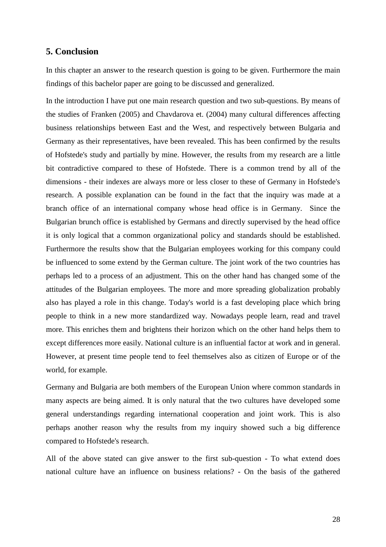#### **5. Conclusion**

In this chapter an answer to the research question is going to be given. Furthermore the main findings of this bachelor paper are going to be discussed and generalized.

In the introduction I have put one main research question and two sub-questions. By means of the studies of Franken (2005) and Chavdarova et. (2004) many cultural differences affecting business relationships between East and the West, and respectively between Bulgaria and Germany as their representatives, have been revealed. This has been confirmed by the results of Hofstede's study and partially by mine. However, the results from my research are a little bit contradictive compared to these of Hofstede. There is a common trend by all of the dimensions - their indexes are always more or less closer to these of Germany in Hofstede's research. A possible explanation can be found in the fact that the inquiry was made at a branch office of an international company whose head office is in Germany. Since the Bulgarian brunch office is established by Germans and directly supervised by the head office it is only logical that a common organizational policy and standards should be established. Furthermore the results show that the Bulgarian employees working for this company could be influenced to some extend by the German culture. The joint work of the two countries has perhaps led to a process of an adjustment. This on the other hand has changed some of the attitudes of the Bulgarian employees. The more and more spreading globalization probably also has played a role in this change. Today's world is a fast developing place which bring people to think in a new more standardized way. Nowadays people learn, read and travel more. This enriches them and brightens their horizon which on the other hand helps them to except differences more easily. National culture is an influential factor at work and in general. However, at present time people tend to feel themselves also as citizen of Europe or of the world, for example.

Germany and Bulgaria are both members of the European Union where common standards in many aspects are being aimed. It is only natural that the two cultures have developed some general understandings regarding international cooperation and joint work. This is also perhaps another reason why the results from my inquiry showed such a big difference compared to Hofstede's research.

All of the above stated can give answer to the first sub-question - To what extend does national culture have an influence on business relations? - On the basis of the gathered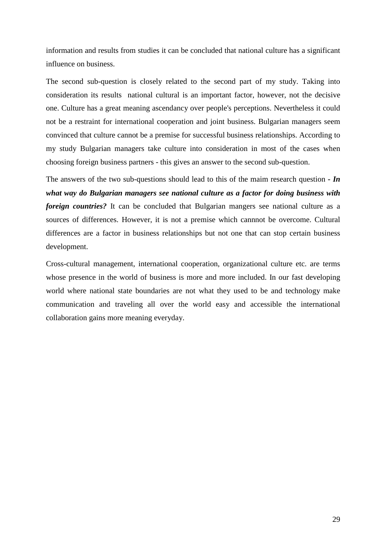information and results from studies it can be concluded that national culture has a significant influence on business.

The second sub-question is closely related to the second part of my study. Taking into consideration its results national cultural is an important factor, however, not the decisive one. Culture has a great meaning ascendancy over people's perceptions. Nevertheless it could not be a restraint for international cooperation and joint business. Bulgarian managers seem convinced that culture cannot be a premise for successful business relationships. According to my study Bulgarian managers take culture into consideration in most of the cases when choosing foreign business partners - this gives an answer to the second sub-question.

The answers of the two sub-questions should lead to this of the maim research question *- In what way do Bulgarian managers see national culture as a factor for doing business with foreign countries?* It can be concluded that Bulgarian mangers see national culture as a sources of differences. However, it is not a premise which cannnot be overcome. Cultural differences are a factor in business relationships but not one that can stop certain business development.

Cross-cultural management, international cooperation, organizational culture etc. are terms whose presence in the world of business is more and more included. In our fast developing world where national state boundaries are not what they used to be and technology make communication and traveling all over the world easy and accessible the international collaboration gains more meaning everyday.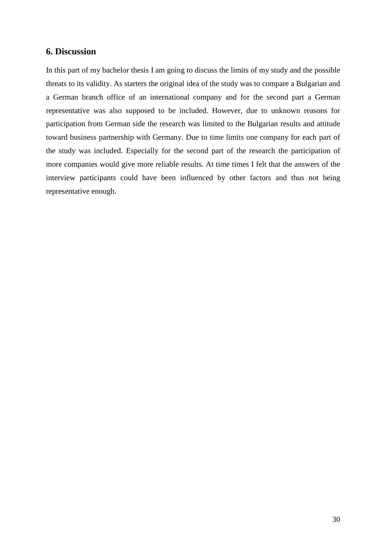#### **6. Discussion**

In this part of my bachelor thesis I am going to discuss the limits of my study and the possible threats to its validity. As starters the original idea of the study was to compare a Bulgarian and a German branch office of an international company and for the second part a German representative was also supposed to be included. However, due to unknown reasons for participation from German side the research was limited to the Bulgarian results and attitude toward business partnership with Germany. Due to time limits one company for each part of the study was included. Especially for the second part of the research the participation of more companies would give more reliable results. At time times I felt that the answers of the interview participants could have been influenced by other factors and thus not being representative enough.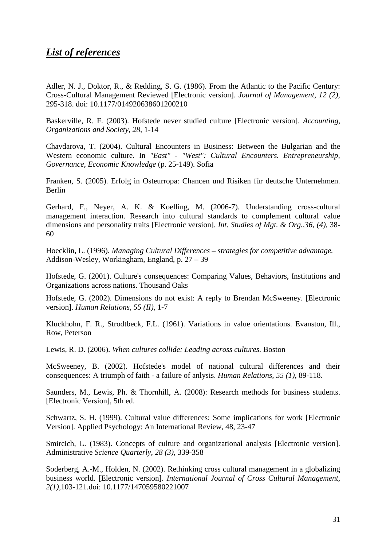### *List of references*

Adler, N. J., Doktor, R., & Redding, S. G. (1986). From the Atlantic to the Pacific Century: Cross-Cultural Management Reviewed [Electronic version]. *Journal of Management, 12 (2),*  295-318. doi: 10.1177/014920638601200210

Baskerville, R. F. (2003). Hofstede never studied culture [Electronic version]. *Accounting, Organizations and Society, 28,* 1-14

Chavdarova, T. (2004). Cultural Encounters in Business: Between the Bulgarian and the Western economic culture. In *"East" - "West": Cultural Encounters. Entrepreneurship, Governance, Economic Knowledge* (p. 25-149). Sofia

Franken, S. (2005). Erfolg in Osteurropa: Chancen und Risiken für deutsche Unternehmen. Berlin

Gerhard, F., Neyer, A. K. & Koelling, M. (2006-7). Understanding cross-cultural management interaction. Research into cultural standards to complement cultural value dimensions and personality traits [Electronic version]. *Int. Studies of Mgt. & Org.,36, (4),* 38- 60

Hoecklin, L. (1996). *Managing Cultural Differences – strategies for competitive advantage.* Addison-Wesley, Workingham, England, p. 27 – 39

Hofstede, G. (2001). Culture's consequences: Comparing Values, Behaviors, Institutions and Organizations across nations. Thousand Oaks

Hofstede, G. (2002). Dimensions do not exist: A reply to Brendan McSweeney. [Electronic version]. *Human Relations, 55 (II),* 1-7

Kluckhohn, F. R., Strodtbeck, F.L. (1961). Variations in value orientations. Evanston, Ill., Row, Peterson

Lewis, R. D. (2006). *When cultures collide: Leading across cultures.* Boston

McSweeney, B. (2002). Hofstede's model of national cultural differences and their consequences: A triumph of faith - a failure of anlysis. *Human Relations, 55 (1),* 89-118.

Saunders, M., Lewis, Ph. & Thornhill, A. (2008): Research methods for business students. [Electronic Version], 5th ed.

Schwartz, S. H. (1999). Cultural value differences: Some implications for work [Electronic Version]. Applied Psychology: An International Review, 48, 23-47

Smircich, L. (1983). Concepts of culture and organizational analysis [Electronic version]. Administrative *Science Quarterly, 28 (3),* 339-358

Soderberg, A.-M., Holden, N. (2002). Rethinking cross cultural management in a globalizing business world. [Electronic version]. *International Journal of Cross Cultural Management, 2(1),*103-121.doi: 10.1177/147059580221007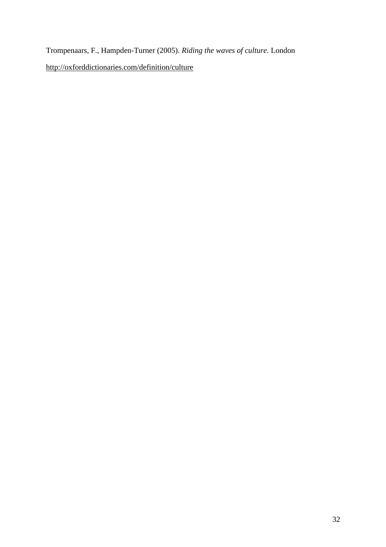Trompenaars, F., Hampden-Turner (2005). *Riding the waves of culture.* London http://oxforddictionaries.com/definition/culture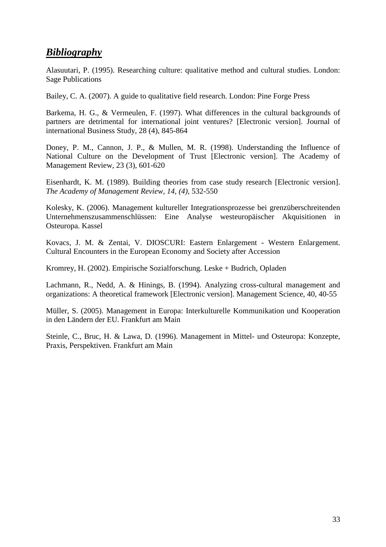### *Bibliography*

Alasuutari, P. (1995). Researching culture: qualitative method and cultural studies. London: Sage Publications

Bailey, C. A. (2007). A guide to qualitative field research. London: Pine Forge Press

Barkema, H. G., & Vermeulen, F. (1997). What differences in the cultural backgrounds of partners are detrimental for international joint ventures? [Electronic version]. Journal of international Business Study, 28 (4), 845-864

Doney, P. M., Cannon, J. P., & Mullen, M. R. (1998). Understanding the Influence of National Culture on the Development of Trust [Electronic version]. The Academy of Management Review, 23 (3), 601-620

Eisenhardt, K. M. (1989). Building theories from case study research [Electronic version]. *The Academy of Management Review, 14, (4)*, 532-550

Kolesky, K. (2006). Management kultureller Integrationsprozesse bei grenzüberschreitenden Unternehmenszusammenschlüssen: Eine Analyse westeuropäischer Akquisitionen in Osteuropa. Kassel

Kovacs, J. M. & Zentai, V. DIOSCURI: Eastern Enlargement - Western Enlargement. Cultural Encounters in the European Economy and Society after Accession

Kromrey, H. (2002). Empirische Sozialforschung. Leske + Budrich, Opladen

Lachmann, R., Nedd, A. & Hinings, B. (1994). Analyzing cross-cultural management and organizations: A theoretical framework [Electronic version]. Management Science, 40, 40-55

Müller, S. (2005). Management in Europa: Interkulturelle Kommunikation und Kooperation in den Ländern der EU. Frankfurt am Main

Steinle, C., Bruc, H. & Lawa, D. (1996). Management in Mittel- und Osteuropa: Konzepte, Praxis, Perspektiven. Frankfurt am Main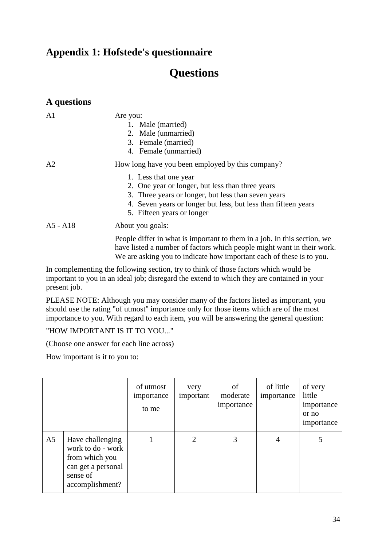## **Appendix 1: Hofstede's questionnaire**

# **Questions**

| A questions    |                                                                                                                                                                                                                                                                                      |
|----------------|--------------------------------------------------------------------------------------------------------------------------------------------------------------------------------------------------------------------------------------------------------------------------------------|
| A <sub>1</sub> | Are you:<br>1. Male (married)<br>2. Male (unmarried)<br>3. Female (married)<br>4. Female (unmarried)                                                                                                                                                                                 |
| A2             | How long have you been employed by this company?<br>1. Less that one year<br>2. One year or longer, but less than three years<br>3. Three years or longer, but less than seven years<br>4. Seven years or longer but less, but less than fifteen years<br>5. Fifteen years or longer |
| $A5 - A18$     | About you goals:<br>People differ in what is important to them in a job. In this section, we<br>have listed a number of factors which people might want in their work.                                                                                                               |

We are asking you to indicate how important each of these is to you. In complementing the following section, try to think of those factors which would be

important to you in an ideal job; disregard the extend to which they are contained in your present job.

PLEASE NOTE: Although you may consider many of the factors listed as important, you should use the rating "of utmost" importance only for those items which are of the most importance to you. With regard to each item, you will be answering the general question:

"HOW IMPORTANT IS IT TO YOU..."

(Choose one answer for each line across)

How important is it to you to:

|                |                                                                                                              | of utmost<br>importance<br>to me | very<br>important | οf<br>moderate<br>importance | of little<br>importance | of very<br>little<br>importance<br>or no<br>importance |
|----------------|--------------------------------------------------------------------------------------------------------------|----------------------------------|-------------------|------------------------------|-------------------------|--------------------------------------------------------|
| A <sub>5</sub> | Have challenging<br>work to do - work<br>from which you<br>can get a personal<br>sense of<br>accomplishment? |                                  | $\overline{2}$    | 3                            | 4                       |                                                        |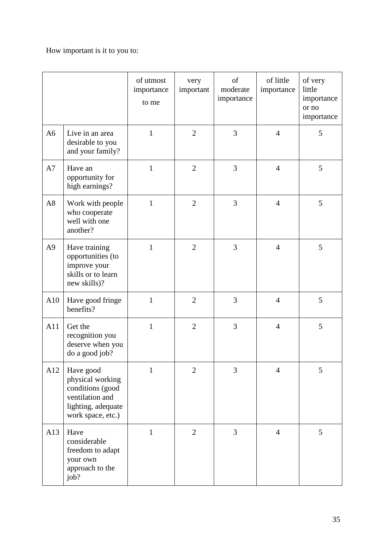### How important is it to you to:

|                |                                                                                                                 | of utmost<br>importance<br>to me | very<br>important | of<br>moderate<br>importance | of little<br>importance | of very<br>little<br>importance<br>or no<br>importance |
|----------------|-----------------------------------------------------------------------------------------------------------------|----------------------------------|-------------------|------------------------------|-------------------------|--------------------------------------------------------|
| A <sub>6</sub> | Live in an area<br>desirable to you<br>and your family?                                                         | $\mathbf{1}$                     | $\overline{2}$    | 3                            | $\overline{4}$          | 5                                                      |
| A7             | Have an<br>opportunity for<br>high earnings?                                                                    | $\mathbf{1}$                     | $\overline{2}$    | 3                            | $\overline{4}$          | 5                                                      |
| A8             | Work with people<br>who cooperate<br>well with one<br>another?                                                  | $\mathbf{1}$                     | $\overline{2}$    | 3                            | $\overline{4}$          | 5                                                      |
| A <sub>9</sub> | Have training<br>opportunities (to<br>improve your<br>skills or to learn<br>new skills)?                        | $\mathbf{1}$                     | $\overline{2}$    | 3                            | $\overline{4}$          | 5                                                      |
| A10            | Have good fringe<br>benefits?                                                                                   | $\mathbf{1}$                     | $\overline{2}$    | 3                            | $\overline{4}$          | 5                                                      |
| A11            | Get the<br>recognition you<br>deserve when you<br>do a good job?                                                | $\mathbf{1}$                     | $\overline{2}$    | 3                            | $\overline{4}$          | 5                                                      |
| A12            | Have good<br>physical working<br>conditions (good<br>ventilation and<br>lighting, adequate<br>work space, etc.) | 1                                | $\overline{2}$    | 3                            | 4                       | 5                                                      |
| A13            | Have<br>considerable<br>freedom to adapt<br>your own<br>approach to the<br>job?                                 | 1                                | $\overline{2}$    | 3                            | $\overline{4}$          | 5                                                      |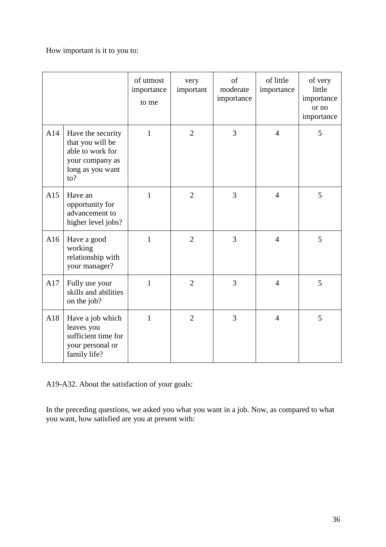How important is it to you to:

|     |                                                                                                         | of utmost<br>importance<br>to me | very<br>important | of<br>moderate<br>importance | of little<br>importance | of very<br>little<br>importance<br>or no<br>importance |
|-----|---------------------------------------------------------------------------------------------------------|----------------------------------|-------------------|------------------------------|-------------------------|--------------------------------------------------------|
| A14 | Have the security<br>that you will be<br>able to work for<br>your company as<br>long as you want<br>to? | $\mathbf{1}$                     | $\overline{2}$    | 3                            | $\overline{4}$          | 5                                                      |
| A15 | Have an<br>opportunity for<br>advancement to<br>higher level jobs?                                      | $\mathbf{1}$                     | $\overline{2}$    | 3                            | $\overline{4}$          | 5                                                      |
| A16 | Have a good<br>working<br>relationship with<br>your manager?                                            | $\mathbf{1}$                     | $\overline{2}$    | 3                            | $\overline{4}$          | 5                                                      |
| A17 | Fully use your<br>skills and abilities<br>on the job?                                                   | $\mathbf{1}$                     | $\overline{2}$    | 3                            | $\overline{4}$          | 5                                                      |
| A18 | Have a job which<br>leaves you<br>sufficient time for<br>your personal or<br>family life?               | 1                                | $\overline{2}$    | 3                            | $\overline{4}$          | 5                                                      |

A19-A32. About the satisfaction of your goals:

In the preceding questions, we asked you what you want in a job. Now, as compared to what you want, how satisfied are you at present with: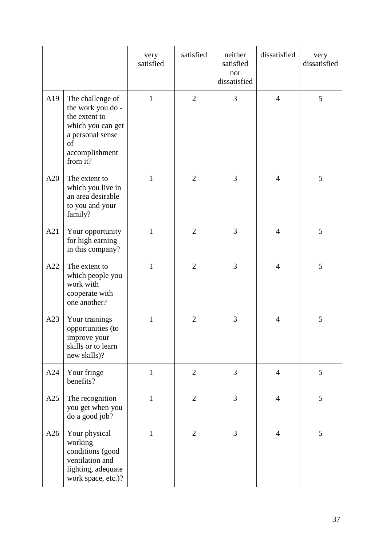|     |                                                                                                                                     | very<br>satisfied | satisfied      | neither<br>satisfied<br>nor<br>dissatisfied | dissatisfied   | very<br>dissatisfied |
|-----|-------------------------------------------------------------------------------------------------------------------------------------|-------------------|----------------|---------------------------------------------|----------------|----------------------|
| A19 | The challenge of<br>the work you do -<br>the extent to<br>which you can get<br>a personal sense<br>of<br>accomplishment<br>from it? | 1                 | $\overline{2}$ | 3                                           | $\overline{4}$ | 5                    |
| A20 | The extent to<br>which you live in<br>an area desirable<br>to you and your<br>family?                                               | 1                 | $\overline{2}$ | 3                                           | $\overline{4}$ | 5                    |
| A21 | Your opportunity<br>for high earning<br>in this company?                                                                            | 1                 | $\overline{2}$ | 3                                           | $\overline{4}$ | 5                    |
| A22 | The extent to<br>which people you<br>work with<br>cooperate with<br>one another?                                                    | $\mathbf{1}$      | $\overline{2}$ | 3                                           | $\overline{4}$ | 5                    |
| A23 | Your trainings<br>opportunities (to<br>improve your<br>skills or to learn<br>new skills)?                                           | $\mathbf{1}$      | $\overline{2}$ | 3                                           | $\overline{4}$ | 5                    |
| A24 | Your fringe<br>benefits?                                                                                                            | $\mathbf{1}$      | $\overline{2}$ | 3                                           | $\overline{4}$ | 5                    |
| A25 | The recognition<br>you get when you<br>do a good job?                                                                               | $\mathbf{1}$      | $\overline{2}$ | 3                                           | $\overline{4}$ | 5                    |
| A26 | Your physical<br>working<br>conditions (good<br>ventilation and<br>lighting, adequate<br>work space, etc.)?                         | $\mathbf{1}$      | $\overline{2}$ | 3                                           | $\overline{4}$ | 5                    |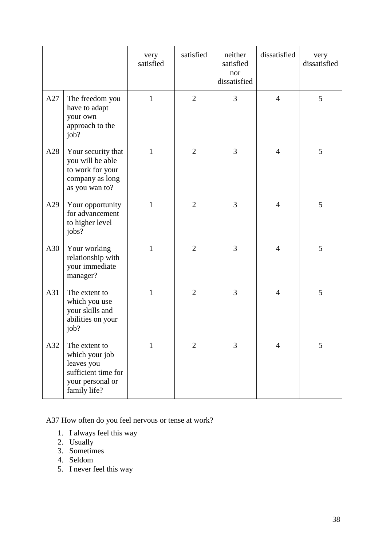|     |                                                                                                          | very<br>satisfied | satisfied      | neither<br>satisfied<br>nor<br>dissatisfied | dissatisfied   | very<br>dissatisfied |
|-----|----------------------------------------------------------------------------------------------------------|-------------------|----------------|---------------------------------------------|----------------|----------------------|
| A27 | The freedom you<br>have to adapt<br>your own<br>approach to the<br>job?                                  | $\mathbf{1}$      | $\overline{2}$ | 3                                           | $\overline{4}$ | 5                    |
| A28 | Your security that<br>you will be able<br>to work for your<br>company as long<br>as you wan to?          | $\mathbf{1}$      | $\overline{2}$ | 3                                           | $\overline{4}$ | 5                    |
| A29 | Your opportunity<br>for advancement<br>to higher level<br>jobs?                                          | $\mathbf{1}$      | $\overline{2}$ | 3                                           | $\overline{4}$ | 5                    |
| A30 | Your working<br>relationship with<br>your immediate<br>manager?                                          | $\mathbf{1}$      | $\overline{2}$ | 3                                           | $\overline{4}$ | 5                    |
| A31 | The extent to<br>which you use<br>your skills and<br>abilities on your<br>job?                           | $\mathbf{1}$      | $\overline{2}$ | 3                                           | $\overline{4}$ | 5                    |
| A32 | The extent to<br>which your job<br>leaves you<br>sufficient time for<br>your personal or<br>family life? | $\mathbf{1}$      | $\overline{2}$ | 3                                           | 4              | 5                    |

A37 How often do you feel nervous or tense at work?

- 1. I always feel this way
- 2. Usually
- 3. Sometimes
- 4. Seldom
- 5. I never feel this way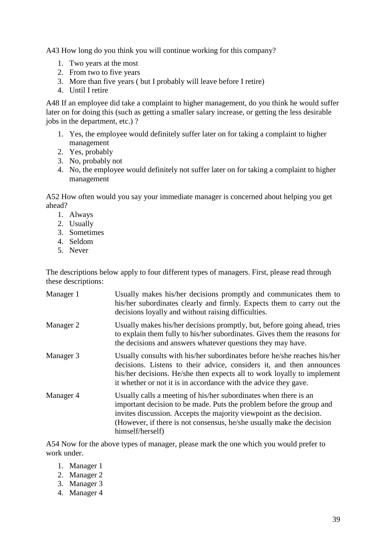A43 How long do you think you will continue working for this company?

- 1. Two years at the most
- 2. From two to five years
- 3. More than five years ( but I probably will leave before I retire)
- 4. Until I retire

A48 If an employee did take a complaint to higher management, do you think he would suffer later on for doing this (such as getting a smaller salary increase, or getting the less desirable jobs in the department, etc.) ?

- 1. Yes, the employee would definitely suffer later on for taking a complaint to higher management
- 2. Yes, probably
- 3. No, probably not
- 4. No, the employee would definitely not suffer later on for taking a complaint to higher management

A52 How often would you say your immediate manager is concerned about helping you get ahead?

- 1. Always
- 2. Usually
- 3. Sometimes
- 4. Seldom
- 5. Never

The descriptions below apply to four different types of managers. First, please read through these descriptions:

| Manager 1 | Usually makes his/her decisions promptly and communicates them to<br>his/her subordinates clearly and firmly. Expects them to carry out the<br>decisions loyally and without raising difficulties.                                                                                                           |
|-----------|--------------------------------------------------------------------------------------------------------------------------------------------------------------------------------------------------------------------------------------------------------------------------------------------------------------|
| Manager 2 | Usually makes his/her decisions promptly, but, before going ahead, tries<br>to explain them fully to his/her subordinates. Gives them the reasons for<br>the decisions and answers whatever questions they may have.                                                                                         |
| Manager 3 | Usually consults with his/her subordinates before he/she reaches his/her<br>decisions. Listens to their advice, considers it, and then announces<br>his/her decisions. He/she then expects all to work loyally to implement<br>it whether or not it is in accordance with the advice they gave.              |
| Manager 4 | Usually calls a meeting of his/her subordinates when there is an<br>important decision to be made. Puts the problem before the group and<br>invites discussion. Accepts the majority viewpoint as the decision.<br>(However, if there is not consensus, he/she usually make the decision<br>himself/herself) |

A54 Now for the above types of manager, please mark the one which you would prefer to work under.

- 1. Manager 1
- 2. Manager 2
- 3. Manager 3
- 4. Manager 4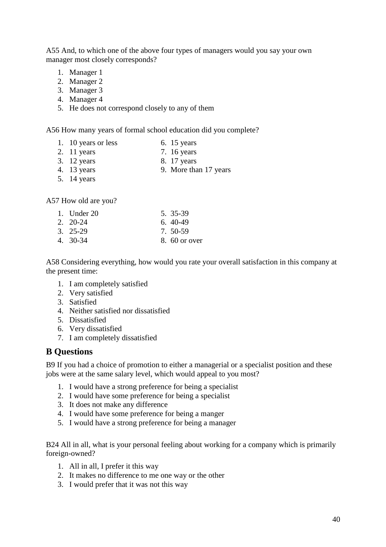A55 And, to which one of the above four types of managers would you say your own manager most closely corresponds?

- 1. Manager 1
- 2. Manager 2
- 3. Manager 3
- 4. Manager 4
- 5. He does not correspond closely to any of them

A56 How many years of formal school education did you complete?

- 1. 10 years or less 6. 15 years
- 2. 11 years 7. 16 years 7. 16 years 3. 12 years 8. 17 years
- 
- 8. 17 years 4. 13 years 9. More than 17 years
- 5. 14 years
- 
- A57 How old are you?

| 1. Under $20$    | 5. 35-39       |
|------------------|----------------|
| $2. \quad 20-24$ | $6, 40-49$     |
| $3.25-29$        | 7. 50-59       |
| 4. 30-34         | $8.60$ or over |

A58 Considering everything, how would you rate your overall satisfaction in this company at the present time:

- 1. I am completely satisfied
- 2. Very satisfied
- 3. Satisfied
- 4. Neither satisfied nor dissatisfied
- 5. Dissatisfied
- 6. Very dissatisfied
- 7. I am completely dissatisfied

#### **B Questions**

B9 If you had a choice of promotion to either a managerial or a specialist position and these jobs were at the same salary level, which would appeal to you most?

- 1. I would have a strong preference for being a specialist
- 2. I would have some preference for being a specialist
- 3. It does not make any difference
- 4. I would have some preference for being a manger
- 5. I would have a strong preference for being a manager

B24 All in all, what is your personal feeling about working for a company which is primarily foreign-owned?

- 1. All in all, I prefer it this way
- 2. It makes no difference to me one way or the other
- 3. I would prefer that it was not this way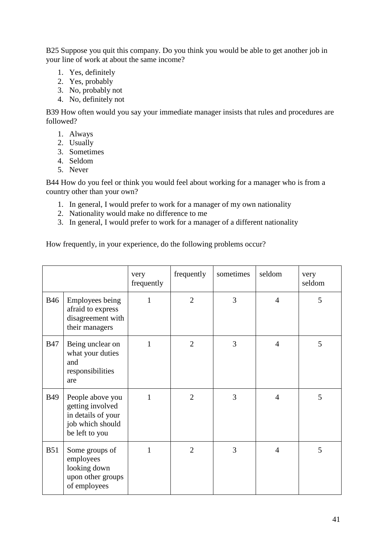B25 Suppose you quit this company. Do you think you would be able to get another job in your line of work at about the same income?

- 1. Yes, definitely
- 2. Yes, probably
- 3. No, probably not
- 4. No, definitely not

B39 How often would you say your immediate manager insists that rules and procedures are followed?

- 1. Always
- 2. Usually
- 3. Sometimes
- 4. Seldom
- 5. Never

B44 How do you feel or think you would feel about working for a manager who is from a country other than your own?

- 1. In general, I would prefer to work for a manager of my own nationality
- 2. Nationality would make no difference to me
- 3. In general, I would prefer to work for a manager of a different nationality

How frequently, in your experience, do the following problems occur?

|            |                                                                                                  | very<br>frequently | frequently     | sometimes | seldom         | very<br>seldom |
|------------|--------------------------------------------------------------------------------------------------|--------------------|----------------|-----------|----------------|----------------|
| <b>B46</b> | <b>Employees being</b><br>afraid to express<br>disagreement with<br>their managers               | 1                  | $\overline{2}$ | 3         | $\overline{4}$ | 5              |
| <b>B47</b> | Being unclear on<br>what your duties<br>and<br>responsibilities<br>are                           | 1                  | $\overline{2}$ | 3         | $\overline{4}$ | 5              |
| <b>B49</b> | People above you<br>getting involved<br>in details of your<br>job which should<br>be left to you | $\mathbf{1}$       | $\overline{2}$ | 3         | $\overline{4}$ | 5              |
| <b>B51</b> | Some groups of<br>employees<br>looking down<br>upon other groups<br>of employees                 | $\mathbf{1}$       | $\overline{2}$ | 3         | $\overline{4}$ | 5              |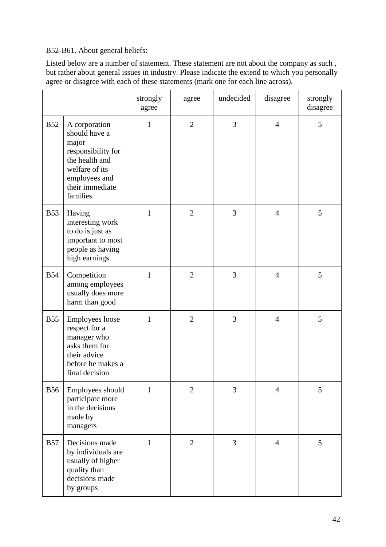B52-B61. About general beliefs:

Listed below are a number of statement. These statement are not about the company as such , but rather about general issues in industry. Please indicate the extend to which you personally agree or disagree with each of these statements (mark one for each line across).

|            |                                                                                                                                                   | strongly<br>agree | agree          | undecided | disagree       | strongly<br>disagree |
|------------|---------------------------------------------------------------------------------------------------------------------------------------------------|-------------------|----------------|-----------|----------------|----------------------|
| <b>B52</b> | A corporation<br>should have a<br>major<br>responsibility for<br>the health and<br>welfare of its<br>employees and<br>their immediate<br>families | $\mathbf{1}$      | $\overline{2}$ | 3         | $\overline{4}$ | 5                    |
| <b>B53</b> | Having<br>interesting work<br>to do is just as<br>important to most<br>people as having<br>high earnings                                          | 1                 | $\overline{2}$ | 3         | $\overline{4}$ | 5                    |
| <b>B54</b> | Competition<br>among employees<br>usually does more<br>harm than good                                                                             | $\mathbf{1}$      | $\overline{2}$ | 3         | $\overline{4}$ | 5                    |
| <b>B55</b> | Employees loose<br>respect for a<br>manager who<br>asks them for<br>their advice<br>before he makes a<br>final decision                           | $\mathbf{1}$      | $\overline{2}$ | 3         | $\overline{4}$ | 5                    |
| <b>B56</b> | Employees should<br>participate more<br>in the decisions<br>made by<br>managers                                                                   | 1                 | $\mathfrak{2}$ | 3         | $\overline{4}$ | 5                    |
| <b>B57</b> | Decisions made<br>by individuals are<br>usually of higher<br>quality than<br>decisions made<br>by groups                                          | $\mathbf{1}$      | $\overline{2}$ | 3         | $\overline{4}$ | 5                    |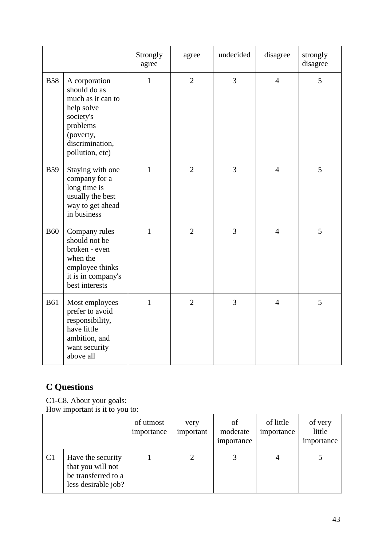|            |                                                                                                                                              | Strongly<br>agree | agree          | undecided      | disagree       | strongly<br>disagree |
|------------|----------------------------------------------------------------------------------------------------------------------------------------------|-------------------|----------------|----------------|----------------|----------------------|
| <b>B58</b> | A corporation<br>should do as<br>much as it can to<br>help solve<br>society's<br>problems<br>(poverty,<br>discrimination,<br>pollution, etc) | $\mathbf{1}$      | $\overline{2}$ | 3              | $\overline{4}$ | 5                    |
| <b>B59</b> | Staying with one<br>company for a<br>long time is<br>usually the best<br>way to get ahead<br>in business                                     | $\mathbf{1}$      | $\overline{2}$ | $\overline{3}$ | $\overline{4}$ | 5                    |
| <b>B60</b> | Company rules<br>should not be<br>broken - even<br>when the<br>employee thinks<br>it is in company's<br>best interests                       | $\mathbf{1}$      | $\overline{2}$ | 3              | $\overline{4}$ | 5                    |
| <b>B61</b> | Most employees<br>prefer to avoid<br>responsibility,<br>have little<br>ambition, and<br>want security<br>above all                           | $\mathbf{1}$      | $\overline{2}$ | $\overline{3}$ | $\overline{4}$ | 5                    |

# **C Questions**

C1-C8. About your goals: How important is it to you to:

|    |                                                                                      | of utmost<br>importance | very<br>important | of<br>moderate<br>importance | of little<br>importance | of very<br>little<br>importance |
|----|--------------------------------------------------------------------------------------|-------------------------|-------------------|------------------------------|-------------------------|---------------------------------|
| C1 | Have the security<br>that you will not<br>be transferred to a<br>less desirable job? |                         |                   |                              | 4                       |                                 |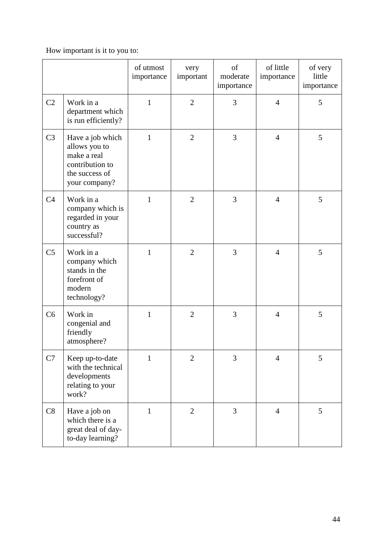## How important is it to you to:

|                |                                                                                                        | of utmost<br>importance | very<br>important | of<br>moderate<br>importance | of little<br>importance | of very<br>little<br>importance |
|----------------|--------------------------------------------------------------------------------------------------------|-------------------------|-------------------|------------------------------|-------------------------|---------------------------------|
| C <sub>2</sub> | Work in a<br>department which<br>is run efficiently?                                                   | $\mathbf{1}$            | $\overline{2}$    | 3                            | $\overline{4}$          | 5                               |
| C <sub>3</sub> | Have a job which<br>allows you to<br>make a real<br>contribution to<br>the success of<br>your company? | $\mathbf{1}$            | $\overline{2}$    | 3                            | $\overline{4}$          | 5                               |
| C <sub>4</sub> | Work in a<br>company which is<br>regarded in your<br>country as<br>successful?                         | $\mathbf{1}$            | $\overline{2}$    | 3                            | $\overline{4}$          | 5                               |
| C <sub>5</sub> | Work in a<br>company which<br>stands in the<br>forefront of<br>modern<br>technology?                   | $\mathbf{1}$            | $\overline{2}$    | 3                            | $\overline{4}$          | 5                               |
| C6             | Work in<br>congenial and<br>friendly<br>atmosphere?                                                    | $\mathbf{1}$            | $\overline{2}$    | 3                            | $\overline{4}$          | 5                               |
| C7             | Keep up-to-date<br>with the technical<br>developments<br>relating to your<br>work?                     | $\mathbf{1}$            | $\overline{2}$    | 3                            | 4                       | 5                               |
| C8             | Have a job on<br>which there is a<br>great deal of day-<br>to-day learning?                            | $\mathbf{1}$            | $\overline{2}$    | 3                            | $\overline{4}$          | 5                               |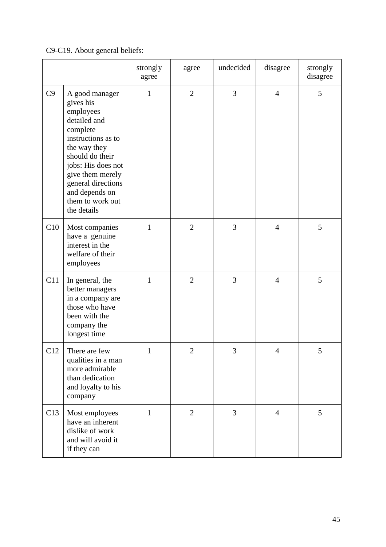## C9-C19. About general beliefs:

|     |                                                                                                                                                                                                                                                    | strongly<br>agree | agree          | undecided      | disagree       | strongly<br>disagree |
|-----|----------------------------------------------------------------------------------------------------------------------------------------------------------------------------------------------------------------------------------------------------|-------------------|----------------|----------------|----------------|----------------------|
| C9  | A good manager<br>gives his<br>employees<br>detailed and<br>complete<br>instructions as to<br>the way they<br>should do their<br>jobs: His does not<br>give them merely<br>general directions<br>and depends on<br>them to work out<br>the details | $\mathbf{1}$      | $\overline{2}$ | 3              | $\overline{4}$ | 5                    |
| C10 | Most companies<br>have a genuine<br>interest in the<br>welfare of their<br>employees                                                                                                                                                               | $\mathbf{1}$      | $\overline{2}$ | 3              | $\overline{4}$ | 5                    |
| C11 | In general, the<br>better managers<br>in a company are<br>those who have<br>been with the<br>company the<br>longest time                                                                                                                           | 1                 | $\overline{2}$ | 3              | $\overline{4}$ | 5                    |
| C12 | There are few<br>qualities in a man<br>more admirable<br>than dedication<br>and loyalty to his<br>company                                                                                                                                          | $\mathbf{1}$      | $\mathfrak{2}$ | 3              | Δ              | 5.                   |
| C13 | Most employees<br>have an inherent<br>dislike of work<br>and will avoid it<br>if they can                                                                                                                                                          | 1                 | $\overline{2}$ | $\overline{3}$ | $\overline{4}$ | 5                    |